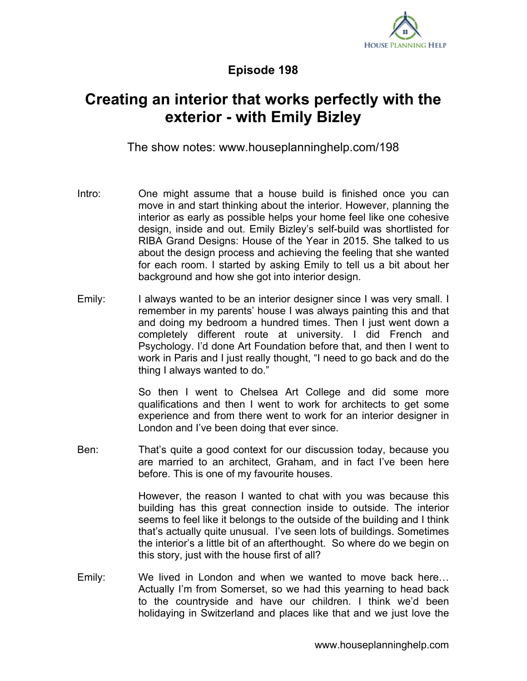

**Episode 198**

## **Creating an interior that works perfectly with the exterior - with Emily Bizley**

The show notes: www.houseplanninghelp.com/198

- Intro: One might assume that a house build is finished once you can move in and start thinking about the interior. However, planning the interior as early as possible helps your home feel like one cohesive design, inside and out. Emily Bizley's self-build was shortlisted for RIBA Grand Designs: House of the Year in 2015. She talked to us about the design process and achieving the feeling that she wanted for each room. I started by asking Emily to tell us a bit about her background and how she got into interior design.
- Emily: I always wanted to be an interior designer since I was very small. I remember in my parents' house I was always painting this and that and doing my bedroom a hundred times. Then I just went down a completely different route at university. I did French and Psychology. I'd done Art Foundation before that, and then I went to work in Paris and I just really thought, "I need to go back and do the thing I always wanted to do."

So then I went to Chelsea Art College and did some more qualifications and then I went to work for architects to get some experience and from there went to work for an interior designer in London and I've been doing that ever since.

Ben: That's quite a good context for our discussion today, because you are married to an architect, Graham, and in fact I've been here before. This is one of my favourite houses.

> However, the reason I wanted to chat with you was because this building has this great connection inside to outside. The interior seems to feel like it belongs to the outside of the building and I think that's actually quite unusual. I've seen lots of buildings. Sometimes the interior's a little bit of an afterthought. So where do we begin on this story, just with the house first of all?

Emily: We lived in London and when we wanted to move back here… Actually I'm from Somerset, so we had this yearning to head back to the countryside and have our children. I think we'd been holidaying in Switzerland and places like that and we just love the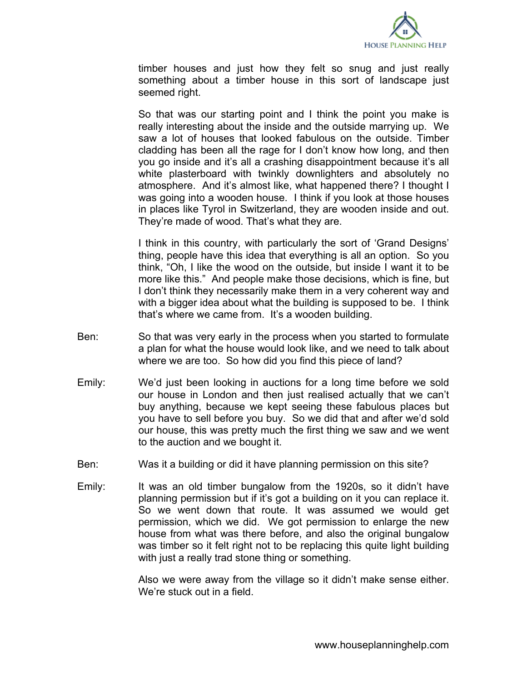

timber houses and just how they felt so snug and just really something about a timber house in this sort of landscape just seemed right.

So that was our starting point and I think the point you make is really interesting about the inside and the outside marrying up. We saw a lot of houses that looked fabulous on the outside. Timber cladding has been all the rage for I don't know how long, and then you go inside and it's all a crashing disappointment because it's all white plasterboard with twinkly downlighters and absolutely no atmosphere. And it's almost like, what happened there? I thought I was going into a wooden house. I think if you look at those houses in places like Tyrol in Switzerland, they are wooden inside and out. They're made of wood. That's what they are.

I think in this country, with particularly the sort of 'Grand Designs' thing, people have this idea that everything is all an option. So you think, "Oh, I like the wood on the outside, but inside I want it to be more like this." And people make those decisions, which is fine, but I don't think they necessarily make them in a very coherent way and with a bigger idea about what the building is supposed to be. I think that's where we came from. It's a wooden building.

- Ben: So that was very early in the process when you started to formulate a plan for what the house would look like, and we need to talk about where we are too. So how did you find this piece of land?
- Emily: We'd just been looking in auctions for a long time before we sold our house in London and then just realised actually that we can't buy anything, because we kept seeing these fabulous places but you have to sell before you buy. So we did that and after we'd sold our house, this was pretty much the first thing we saw and we went to the auction and we bought it.
- Ben: Was it a building or did it have planning permission on this site?
- Emily: It was an old timber bungalow from the 1920s, so it didn't have planning permission but if it's got a building on it you can replace it. So we went down that route. It was assumed we would get permission, which we did. We got permission to enlarge the new house from what was there before, and also the original bungalow was timber so it felt right not to be replacing this quite light building with just a really trad stone thing or something.

Also we were away from the village so it didn't make sense either. We're stuck out in a field.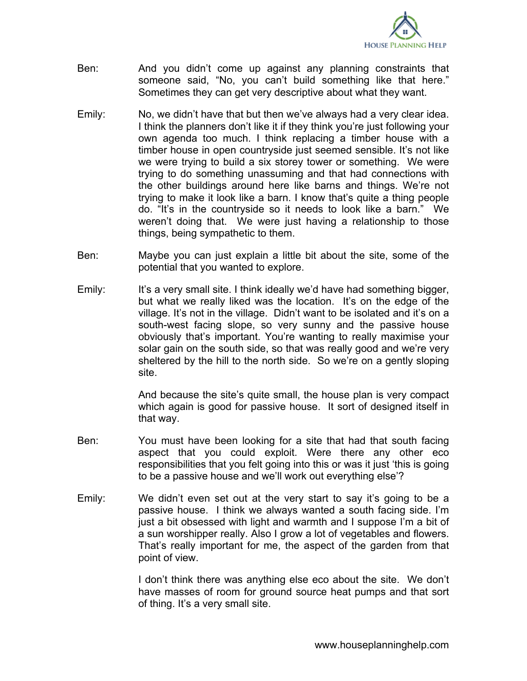

- Ben: And you didn't come up against any planning constraints that someone said, "No, you can't build something like that here." Sometimes they can get very descriptive about what they want.
- Emily: No, we didn't have that but then we've always had a very clear idea. I think the planners don't like it if they think you're just following your own agenda too much. I think replacing a timber house with a timber house in open countryside just seemed sensible. It's not like we were trying to build a six storey tower or something. We were trying to do something unassuming and that had connections with the other buildings around here like barns and things. We're not trying to make it look like a barn. I know that's quite a thing people do. "It's in the countryside so it needs to look like a barn." We weren't doing that. We were just having a relationship to those things, being sympathetic to them.
- Ben: Maybe you can just explain a little bit about the site, some of the potential that you wanted to explore.
- Emily: It's a very small site. I think ideally we'd have had something bigger, but what we really liked was the location. It's on the edge of the village. It's not in the village. Didn't want to be isolated and it's on a south-west facing slope, so very sunny and the passive house obviously that's important. You're wanting to really maximise your solar gain on the south side, so that was really good and we're very sheltered by the hill to the north side. So we're on a gently sloping site.

And because the site's quite small, the house plan is very compact which again is good for passive house. It sort of designed itself in that way.

- Ben: You must have been looking for a site that had that south facing aspect that you could exploit. Were there any other eco responsibilities that you felt going into this or was it just 'this is going to be a passive house and we'll work out everything else'?
- Emily: We didn't even set out at the very start to say it's going to be a passive house. I think we always wanted a south facing side. I'm just a bit obsessed with light and warmth and I suppose I'm a bit of a sun worshipper really. Also I grow a lot of vegetables and flowers. That's really important for me, the aspect of the garden from that point of view.

I don't think there was anything else eco about the site. We don't have masses of room for ground source heat pumps and that sort of thing. It's a very small site.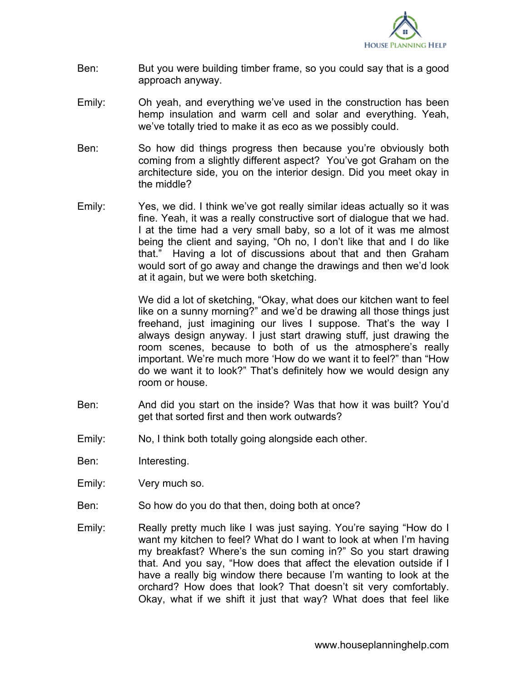

- Ben: But you were building timber frame, so you could say that is a good approach anyway.
- Emily: Oh yeah, and everything we've used in the construction has been hemp insulation and warm cell and solar and everything. Yeah, we've totally tried to make it as eco as we possibly could.
- Ben: So how did things progress then because you're obviously both coming from a slightly different aspect? You've got Graham on the architecture side, you on the interior design. Did you meet okay in the middle?
- Emily: Yes, we did. I think we've got really similar ideas actually so it was fine. Yeah, it was a really constructive sort of dialogue that we had. I at the time had a very small baby, so a lot of it was me almost being the client and saying, "Oh no, I don't like that and I do like that." Having a lot of discussions about that and then Graham would sort of go away and change the drawings and then we'd look at it again, but we were both sketching.

We did a lot of sketching, "Okay, what does our kitchen want to feel like on a sunny morning?" and we'd be drawing all those things just freehand, just imagining our lives I suppose. That's the way I always design anyway. I just start drawing stuff, just drawing the room scenes, because to both of us the atmosphere's really important. We're much more 'How do we want it to feel?" than "How do we want it to look?" That's definitely how we would design any room or house.

- Ben: And did you start on the inside? Was that how it was built? You'd get that sorted first and then work outwards?
- Emily: No, I think both totally going alongside each other.
- Ben: Interesting.
- Emily: Very much so.
- Ben: So how do you do that then, doing both at once?
- Emily: Really pretty much like I was just saying. You're saying "How do I want my kitchen to feel? What do I want to look at when I'm having my breakfast? Where's the sun coming in?" So you start drawing that. And you say, "How does that affect the elevation outside if I have a really big window there because I'm wanting to look at the orchard? How does that look? That doesn't sit very comfortably. Okay, what if we shift it just that way? What does that feel like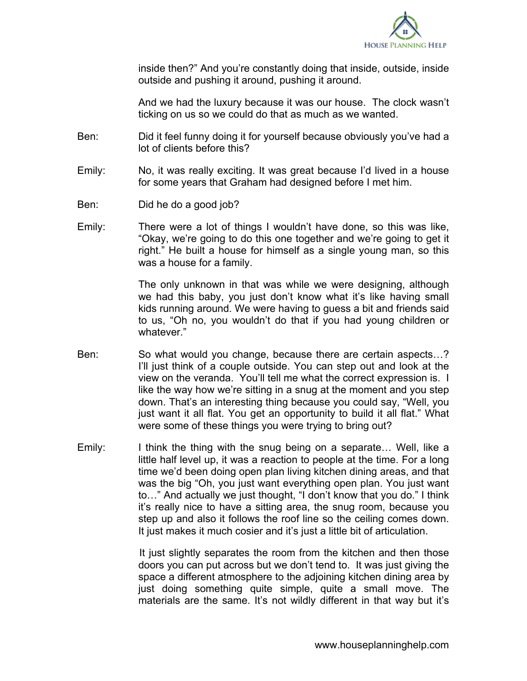

inside then?" And you're constantly doing that inside, outside, inside outside and pushing it around, pushing it around.

And we had the luxury because it was our house. The clock wasn't ticking on us so we could do that as much as we wanted.

- Ben: Did it feel funny doing it for yourself because obviously you've had a lot of clients before this?
- Emily: No, it was really exciting. It was great because I'd lived in a house for some years that Graham had designed before I met him.
- Ben: Did he do a good job?
- Emily: There were a lot of things I wouldn't have done, so this was like, "Okay, we're going to do this one together and we're going to get it right." He built a house for himself as a single young man, so this was a house for a family.

The only unknown in that was while we were designing, although we had this baby, you just don't know what it's like having small kids running around. We were having to guess a bit and friends said to us, "Oh no, you wouldn't do that if you had young children or whatever."

- Ben: So what would you change, because there are certain aspects…? I'll just think of a couple outside. You can step out and look at the view on the veranda. You'll tell me what the correct expression is. I like the way how we're sitting in a snug at the moment and you step down. That's an interesting thing because you could say, "Well, you just want it all flat. You get an opportunity to build it all flat." What were some of these things you were trying to bring out?
- Emily: I think the thing with the snug being on a separate… Well, like a little half level up, it was a reaction to people at the time. For a long time we'd been doing open plan living kitchen dining areas, and that was the big "Oh, you just want everything open plan. You just want to…" And actually we just thought, "I don't know that you do." I think it's really nice to have a sitting area, the snug room, because you step up and also it follows the roof line so the ceiling comes down. It just makes it much cosier and it's just a little bit of articulation.

It just slightly separates the room from the kitchen and then those doors you can put across but we don't tend to. It was just giving the space a different atmosphere to the adjoining kitchen dining area by just doing something quite simple, quite a small move. The materials are the same. It's not wildly different in that way but it's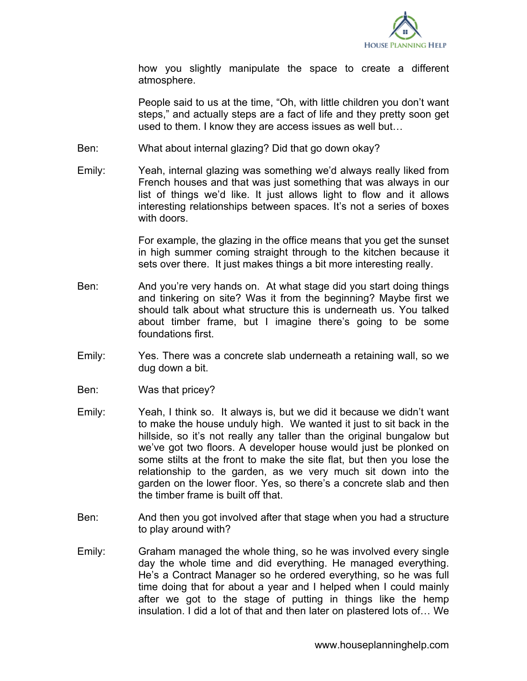

how you slightly manipulate the space to create a different atmosphere.

People said to us at the time, "Oh, with little children you don't want steps," and actually steps are a fact of life and they pretty soon get used to them. I know they are access issues as well but…

- Ben: What about internal glazing? Did that go down okay?
- Emily: Yeah, internal glazing was something we'd always really liked from French houses and that was just something that was always in our list of things we'd like. It just allows light to flow and it allows interesting relationships between spaces. It's not a series of boxes with doors.

For example, the glazing in the office means that you get the sunset in high summer coming straight through to the kitchen because it sets over there. It just makes things a bit more interesting really.

- Ben: And you're very hands on. At what stage did you start doing things and tinkering on site? Was it from the beginning? Maybe first we should talk about what structure this is underneath us. You talked about timber frame, but I imagine there's going to be some foundations first.
- Emily: Yes. There was a concrete slab underneath a retaining wall, so we dug down a bit.
- Ben: Was that pricey?
- Emily: Yeah, I think so. It always is, but we did it because we didn't want to make the house unduly high. We wanted it just to sit back in the hillside, so it's not really any taller than the original bungalow but we've got two floors. A developer house would just be plonked on some stilts at the front to make the site flat, but then you lose the relationship to the garden, as we very much sit down into the garden on the lower floor. Yes, so there's a concrete slab and then the timber frame is built off that.
- Ben: And then you got involved after that stage when you had a structure to play around with?
- Emily: Graham managed the whole thing, so he was involved every single day the whole time and did everything. He managed everything. He's a Contract Manager so he ordered everything, so he was full time doing that for about a year and I helped when I could mainly after we got to the stage of putting in things like the hemp insulation. I did a lot of that and then later on plastered lots of… We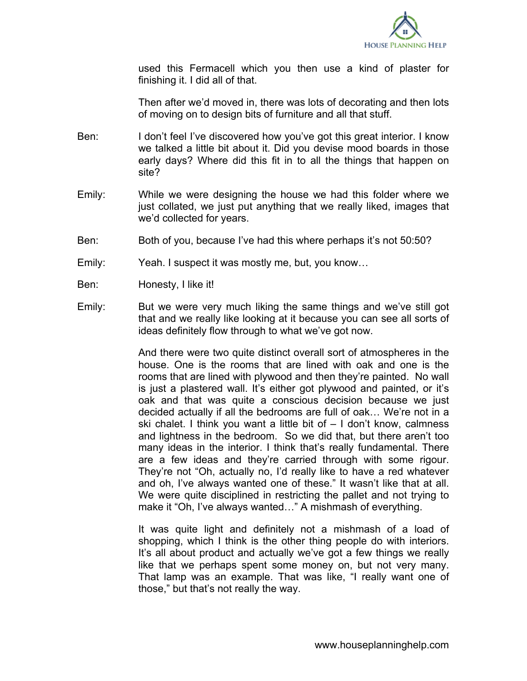

used this Fermacell which you then use a kind of plaster for finishing it. I did all of that.

Then after we'd moved in, there was lots of decorating and then lots of moving on to design bits of furniture and all that stuff.

- Ben: I don't feel I've discovered how you've got this great interior. I know we talked a little bit about it. Did you devise mood boards in those early days? Where did this fit in to all the things that happen on site?
- Emily: While we were designing the house we had this folder where we just collated, we just put anything that we really liked, images that we'd collected for years.
- Ben: Both of you, because I've had this where perhaps it's not 50:50?
- Emily: Yeah. I suspect it was mostly me, but, you know…
- Ben: Honesty, I like it!
- Emily: But we were very much liking the same things and we've still got that and we really like looking at it because you can see all sorts of ideas definitely flow through to what we've got now.

And there were two quite distinct overall sort of atmospheres in the house. One is the rooms that are lined with oak and one is the rooms that are lined with plywood and then they're painted. No wall is just a plastered wall. It's either got plywood and painted, or it's oak and that was quite a conscious decision because we just decided actually if all the bedrooms are full of oak… We're not in a ski chalet. I think you want a little bit of – I don't know, calmness and lightness in the bedroom. So we did that, but there aren't too many ideas in the interior. I think that's really fundamental. There are a few ideas and they're carried through with some rigour. They're not "Oh, actually no, I'd really like to have a red whatever and oh, I've always wanted one of these." It wasn't like that at all. We were quite disciplined in restricting the pallet and not trying to make it "Oh, I've always wanted…" A mishmash of everything.

It was quite light and definitely not a mishmash of a load of shopping, which I think is the other thing people do with interiors. It's all about product and actually we've got a few things we really like that we perhaps spent some money on, but not very many. That lamp was an example. That was like, "I really want one of those," but that's not really the way.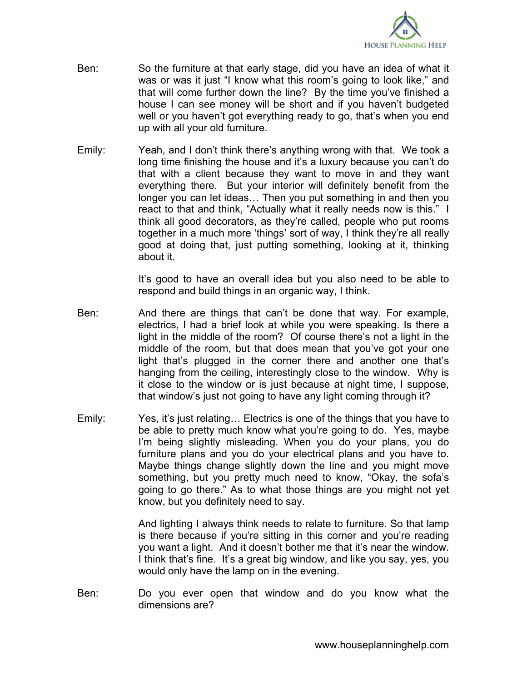

- Ben: So the furniture at that early stage, did you have an idea of what it was or was it just "I know what this room's going to look like," and that will come further down the line? By the time you've finished a house I can see money will be short and if you haven't budgeted well or you haven't got everything ready to go, that's when you end up with all your old furniture.
- Emily: Yeah, and I don't think there's anything wrong with that. We took a long time finishing the house and it's a luxury because you can't do that with a client because they want to move in and they want everything there. But your interior will definitely benefit from the longer you can let ideas… Then you put something in and then you react to that and think, "Actually what it really needs now is this." I think all good decorators, as they're called, people who put rooms together in a much more 'things' sort of way, I think they're all really good at doing that, just putting something, looking at it, thinking about it.

It's good to have an overall idea but you also need to be able to respond and build things in an organic way, I think.

- Ben: And there are things that can't be done that way. For example, electrics, I had a brief look at while you were speaking. Is there a light in the middle of the room? Of course there's not a light in the middle of the room, but that does mean that you've got your one light that's plugged in the corner there and another one that's hanging from the ceiling, interestingly close to the window. Why is it close to the window or is just because at night time, I suppose, that window's just not going to have any light coming through it?
- Emily: Yes, it's just relating… Electrics is one of the things that you have to be able to pretty much know what you're going to do. Yes, maybe I'm being slightly misleading. When you do your plans, you do furniture plans and you do your electrical plans and you have to. Maybe things change slightly down the line and you might move something, but you pretty much need to know, "Okay, the sofa's going to go there." As to what those things are you might not yet know, but you definitely need to say.

And lighting I always think needs to relate to furniture. So that lamp is there because if you're sitting in this corner and you're reading you want a light. And it doesn't bother me that it's near the window. I think that's fine. It's a great big window, and like you say, yes, you would only have the lamp on in the evening.

Ben: Do you ever open that window and do you know what the dimensions are?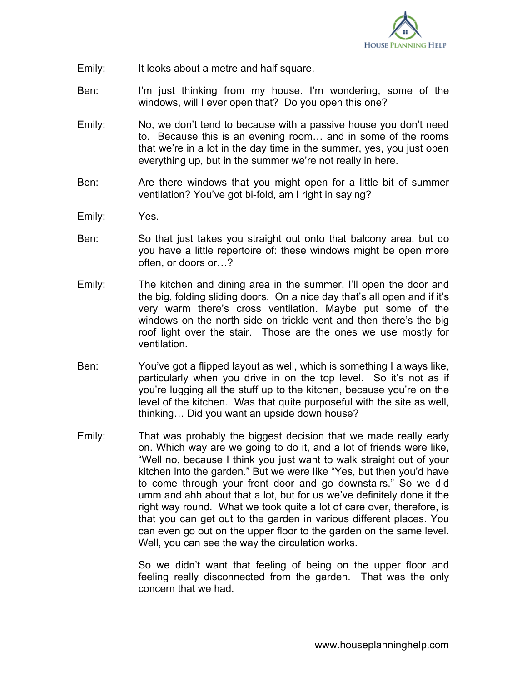

- Emily: It looks about a metre and half square.
- Ben: I'm just thinking from my house. I'm wondering, some of the windows, will I ever open that? Do you open this one?
- Emily: No, we don't tend to because with a passive house you don't need to. Because this is an evening room… and in some of the rooms that we're in a lot in the day time in the summer, yes, you just open everything up, but in the summer we're not really in here.
- Ben: Are there windows that you might open for a little bit of summer ventilation? You've got bi-fold, am I right in saying?
- Emily: Yes.
- Ben: So that just takes you straight out onto that balcony area, but do you have a little repertoire of: these windows might be open more often, or doors or…?
- Emily: The kitchen and dining area in the summer, I'll open the door and the big, folding sliding doors. On a nice day that's all open and if it's very warm there's cross ventilation. Maybe put some of the windows on the north side on trickle vent and then there's the big roof light over the stair. Those are the ones we use mostly for ventilation.
- Ben: You've got a flipped layout as well, which is something I always like, particularly when you drive in on the top level. So it's not as if you're lugging all the stuff up to the kitchen, because you're on the level of the kitchen. Was that quite purposeful with the site as well, thinking… Did you want an upside down house?
- Emily: That was probably the biggest decision that we made really early on. Which way are we going to do it, and a lot of friends were like, "Well no, because I think you just want to walk straight out of your kitchen into the garden." But we were like "Yes, but then you'd have to come through your front door and go downstairs." So we did umm and ahh about that a lot, but for us we've definitely done it the right way round. What we took quite a lot of care over, therefore, is that you can get out to the garden in various different places. You can even go out on the upper floor to the garden on the same level. Well, you can see the way the circulation works.

So we didn't want that feeling of being on the upper floor and feeling really disconnected from the garden. That was the only concern that we had.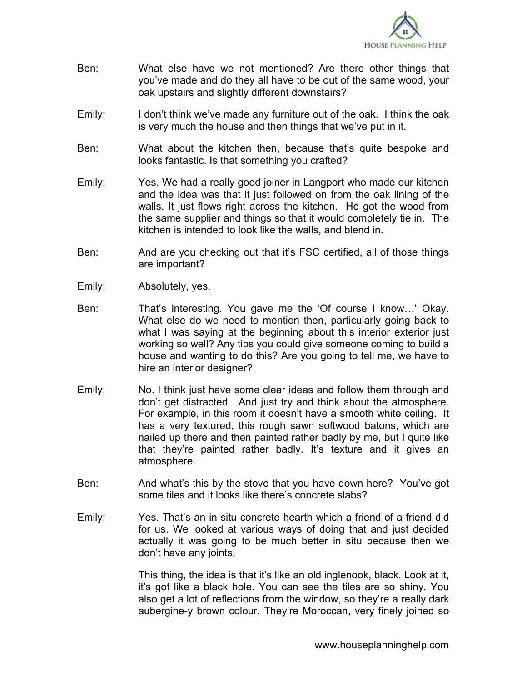

- Ben: What else have we not mentioned? Are there other things that you've made and do they all have to be out of the same wood, your oak upstairs and slightly different downstairs?
- Emily: I don't think we've made any furniture out of the oak. I think the oak is very much the house and then things that we've put in it.
- Ben: What about the kitchen then, because that's quite bespoke and looks fantastic. Is that something you crafted?
- Emily: Yes. We had a really good joiner in Langport who made our kitchen and the idea was that it just followed on from the oak lining of the walls. It just flows right across the kitchen. He got the wood from the same supplier and things so that it would completely tie in. The kitchen is intended to look like the walls, and blend in.
- Ben: And are you checking out that it's FSC certified, all of those things are important?
- Emily: Absolutely, yes.
- Ben: That's interesting. You gave me the 'Of course I know…' Okay. What else do we need to mention then, particularly going back to what I was saying at the beginning about this interior exterior just working so well? Any tips you could give someone coming to build a house and wanting to do this? Are you going to tell me, we have to hire an interior designer?
- Emily: No. I think just have some clear ideas and follow them through and don't get distracted. And just try and think about the atmosphere. For example, in this room it doesn't have a smooth white ceiling. It has a very textured, this rough sawn softwood batons, which are nailed up there and then painted rather badly by me, but I quite like that they're painted rather badly. It's texture and it gives an atmosphere.
- Ben: And what's this by the stove that you have down here? You've got some tiles and it looks like there's concrete slabs?
- Emily: Yes. That's an in situ concrete hearth which a friend of a friend did for us. We looked at various ways of doing that and just decided actually it was going to be much better in situ because then we don't have any joints.

This thing, the idea is that it's like an old inglenook, black. Look at it, it's got like a black hole. You can see the tiles are so shiny. You also get a lot of reflections from the window, so they're a really dark aubergine-y brown colour. They're Moroccan, very finely joined so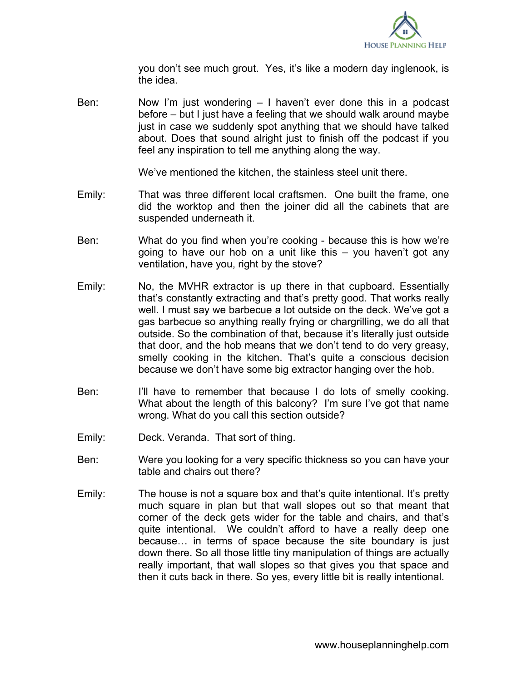

you don't see much grout. Yes, it's like a modern day inglenook, is the idea.

Ben: Now I'm just wondering – I haven't ever done this in a podcast before – but I just have a feeling that we should walk around maybe just in case we suddenly spot anything that we should have talked about. Does that sound alright just to finish off the podcast if you feel any inspiration to tell me anything along the way.

We've mentioned the kitchen, the stainless steel unit there.

- Emily: That was three different local craftsmen. One built the frame, one did the worktop and then the joiner did all the cabinets that are suspended underneath it.
- Ben: What do you find when you're cooking because this is how we're going to have our hob on a unit like this – you haven't got any ventilation, have you, right by the stove?
- Emily: No, the MVHR extractor is up there in that cupboard. Essentially that's constantly extracting and that's pretty good. That works really well. I must say we barbecue a lot outside on the deck. We've got a gas barbecue so anything really frying or chargrilling, we do all that outside. So the combination of that, because it's literally just outside that door, and the hob means that we don't tend to do very greasy, smelly cooking in the kitchen. That's quite a conscious decision because we don't have some big extractor hanging over the hob.
- Ben: I'll have to remember that because I do lots of smelly cooking. What about the length of this balcony? I'm sure I've got that name wrong. What do you call this section outside?
- Emily: Deck. Veranda. That sort of thing.
- Ben: Were you looking for a very specific thickness so you can have your table and chairs out there?
- Emily: The house is not a square box and that's quite intentional. It's pretty much square in plan but that wall slopes out so that meant that corner of the deck gets wider for the table and chairs, and that's quite intentional. We couldn't afford to have a really deep one because… in terms of space because the site boundary is just down there. So all those little tiny manipulation of things are actually really important, that wall slopes so that gives you that space and then it cuts back in there. So yes, every little bit is really intentional.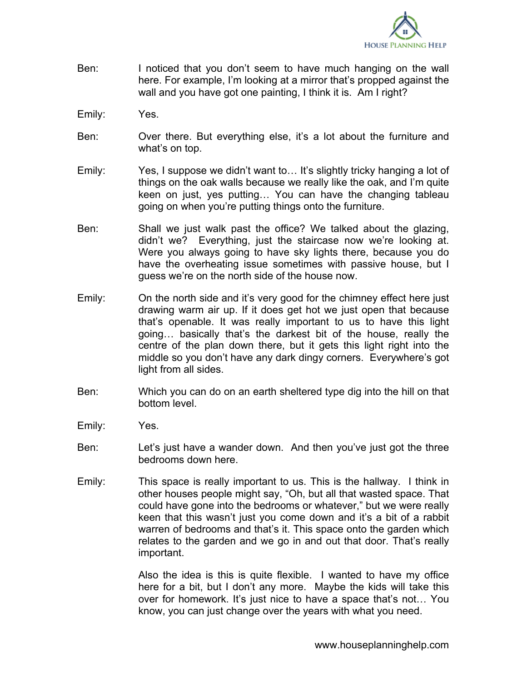

- Ben: I noticed that you don't seem to have much hanging on the wall here. For example, I'm looking at a mirror that's propped against the wall and you have got one painting, I think it is. Am I right?
- Emily: Yes.
- Ben: Over there. But everything else, it's a lot about the furniture and what's on top.
- Emily: Yes, I suppose we didn't want to… It's slightly tricky hanging a lot of things on the oak walls because we really like the oak, and I'm quite keen on just, yes putting… You can have the changing tableau going on when you're putting things onto the furniture.
- Ben: Shall we just walk past the office? We talked about the glazing, didn't we? Everything, just the staircase now we're looking at. Were you always going to have sky lights there, because you do have the overheating issue sometimes with passive house, but I guess we're on the north side of the house now.
- Emily: On the north side and it's very good for the chimney effect here just drawing warm air up. If it does get hot we just open that because that's openable. It was really important to us to have this light going… basically that's the darkest bit of the house, really the centre of the plan down there, but it gets this light right into the middle so you don't have any dark dingy corners. Everywhere's got light from all sides.
- Ben: Which you can do on an earth sheltered type dig into the hill on that bottom level.
- Emily: Yes.
- Ben: Let's just have a wander down. And then you've just got the three bedrooms down here.
- Emily: This space is really important to us. This is the hallway. I think in other houses people might say, "Oh, but all that wasted space. That could have gone into the bedrooms or whatever," but we were really keen that this wasn't just you come down and it's a bit of a rabbit warren of bedrooms and that's it. This space onto the garden which relates to the garden and we go in and out that door. That's really important.

Also the idea is this is quite flexible. I wanted to have my office here for a bit, but I don't any more. Maybe the kids will take this over for homework. It's just nice to have a space that's not… You know, you can just change over the years with what you need.